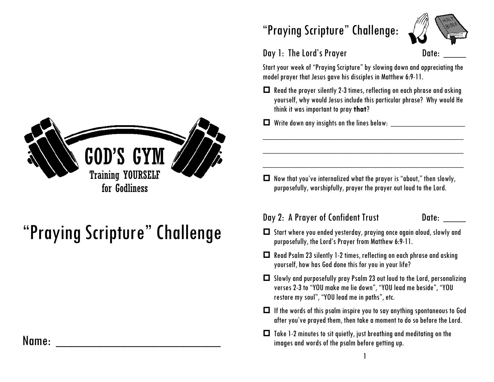

# "Praying Scripture" Challenge

### Name: \_\_\_\_\_\_\_\_\_\_\_\_\_\_\_\_\_\_\_\_\_\_

### "Praying Scripture" Challenge:



#### Day 1: The Lord's Prayer **Date:** Date:

Start your week of "Praying Scripture" by slowing down and appreciating the model prayer that Jesus gave his disciples in Matthew 6:9-11.

 $\Box$  Read the prayer silently 2-3 times, reflecting on each phrase and asking yourself, why would Jesus include this particular phrase? Why would He think it was important to pray **that**?

\_\_\_\_\_\_\_\_\_\_\_\_\_\_\_\_\_\_\_\_\_\_\_\_\_\_\_\_\_\_\_\_\_\_\_\_\_\_\_\_\_\_\_\_\_\_

\_\_\_\_\_\_\_\_\_\_\_\_\_\_\_\_\_\_\_\_\_\_\_\_\_\_\_\_\_\_\_\_\_\_\_\_\_\_\_\_\_\_\_\_\_\_

\_\_\_\_\_\_\_\_\_\_\_\_\_\_\_\_\_\_\_\_\_\_\_\_\_\_\_\_\_\_\_\_\_\_\_\_\_\_\_\_\_\_\_\_\_\_

 $\Box$  Write down any insights on the lines below:

 $\Box$  Now that you've internalized what the prayer is "about," then slowly, purposefully, worshipfully, prayer the prayer out loud to the Lord.

#### Day 2: A Prayer of Confident Trust Date:

- Start where you ended yesterday, praying once again aloud, slowly and purposefully, the Lord's Prayer from Matthew 6:9-11.
- $\Box$  Read Psalm 23 silently 1-2 times, reflecting on each phrase and asking yourself, how has God done this for you in your life?
- $\Box$  Slowly and purposefully pray Psalm 23 out loud to the Lord, personalizing verses 2-3 to "YOU make me lie down", "YOU lead me beside", "YOU restore my soul", "YOU lead me in paths", etc.
- $\Box$  If the words of this psalm inspire you to say anything spontaneous to God after you've prayed them, then take a moment to do so before the Lord.
- $\Box$  Take 1-2 minutes to sit quietly, just breathing and meditating on the images and words of the psalm before getting up.